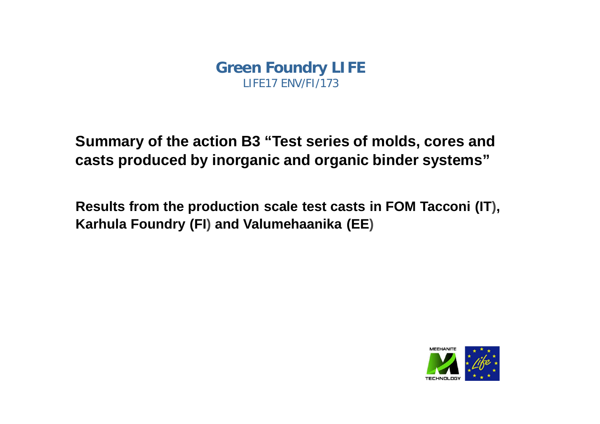**Summary of the action B3 "Test series of molds, cores and casts produced by inorganic and organic binder systems"**

**Results from the production scale test casts in FOM Tacconi (IT), Karhula Foundry (FI) and Valumehaanika (EE)**

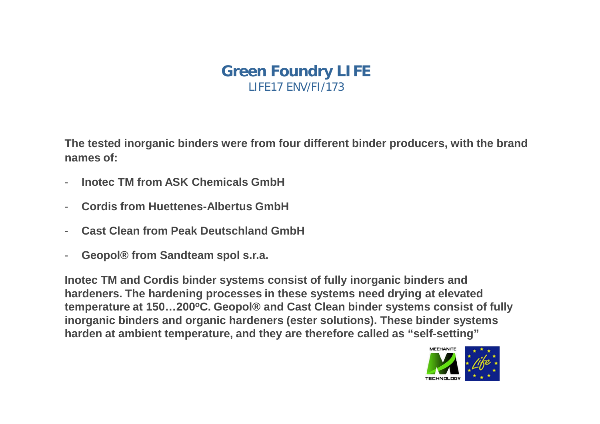**The tested inorganic binders were from four different binder producers, with the brand names of:**

- **Inotec TM from ASK Chemicals GmbH**
- **Cordis from Huettenes-Albertus GmbH**
- **Cast Clean from Peak Deutschland GmbH**
- **Geopol® from Sandteam spol s.r.a.**

**Inotec TM and Cordis binder systems consist of fully inorganic binders and hardeners. The hardening processes in these systems need drying at elevated temperature at 150…200<sup>o</sup>C. Geopol® and Cast Clean binder systems consist of fully inorganic binders and organic hardeners (ester solutions). These binder systems harden at ambient temperature, and they are therefore called as "self-setting"**

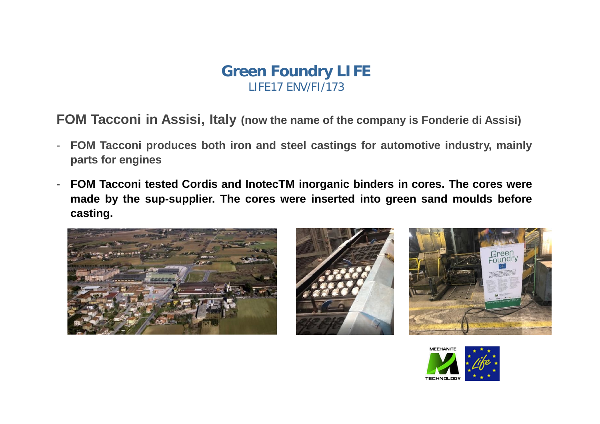**FOM Tacconi in Assisi, Italy (now the name of the company is Fonderie di Assisi)**

- **FOM Tacconi produces both iron and steel castings for automotive industry, mainly parts for engines**
- **FOM Tacconi tested Cordis and InotecTM inorganic binders in cores. The cores were made by the sup-supplier. The cores were inserted into green sand moulds before casting.**







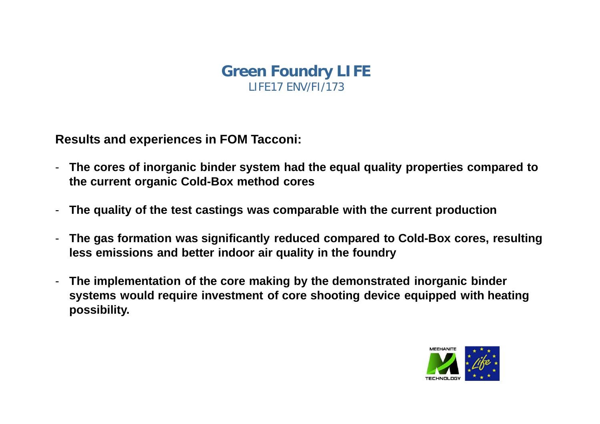**Results and experiences in FOM Tacconi:**

- **The cores of inorganic binder system had the equal quality properties compared to the current organic Cold-Box method cores**
- **The quality of the test castings was comparable with the current production**
- **The gas formation was significantly reduced compared to Cold-Box cores, resulting less emissions and better indoor air quality in the foundry**
- **The implementation of the core making by the demonstrated inorganic binder systems would require investment of core shooting device equipped with heating possibility.**

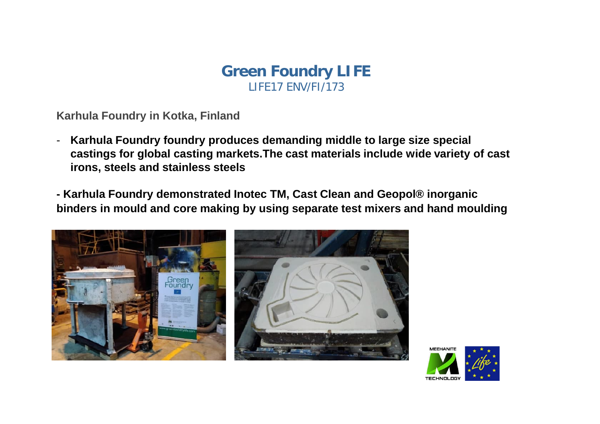**Karhula Foundry in Kotka, Finland**

- **Karhula Foundry foundry produces demanding middle to large size special castings for global casting markets.The cast materials include wide variety of cast irons, steels and stainless steels**

**- Karhula Foundry demonstrated Inotec TM, Cast Clean and Geopol® inorganic binders in mould and core making by using separate test mixers and hand moulding**



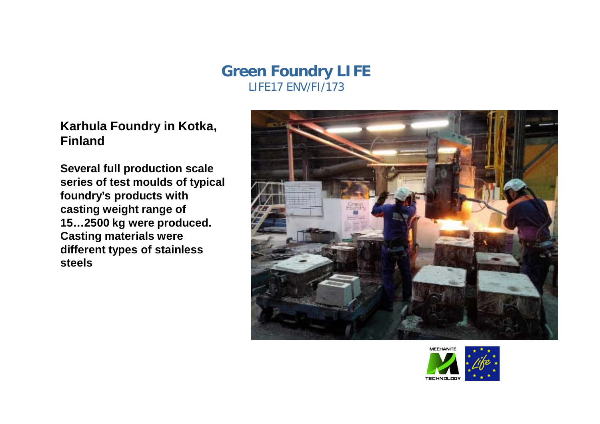### **Karhula Foundry in Kotka, Finland**

**Several full production scale series of test moulds of typical foundry's products with casting weight range of 15…2500 kg were produced. Casting materials were different types of stainless steels**



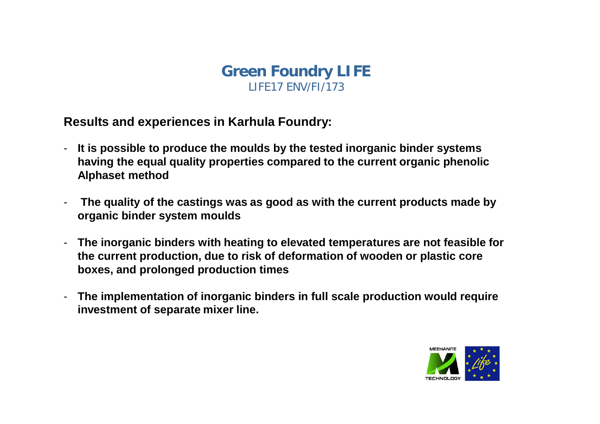**Results and experiences in Karhula Foundry:**

- **It is possible to produce the moulds by the tested inorganic binder systems having the equal quality properties compared to the current organic phenolic Alphaset method**
- The quality of the castings was as good as with the current products made by **organic binder system moulds**
- **The inorganic binders with heating to elevated temperatures are not feasible for the current production, due to risk of deformation of wooden or plastic core boxes, and prolonged production times**
- **The implementation of inorganic binders in full scale production would require investment of separate mixer line.**

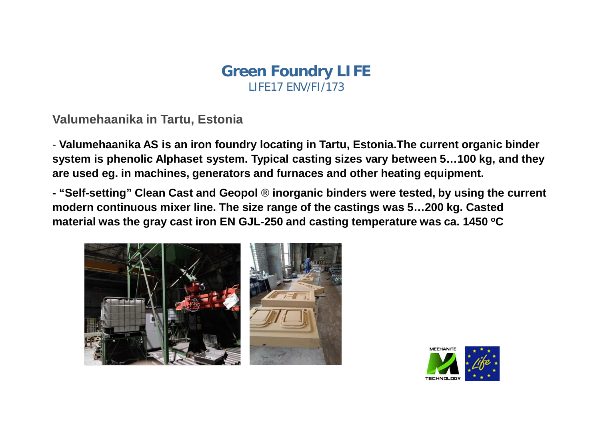#### **Valumehaanika in Tartu, Estonia**

- **Valumehaanika AS is an iron foundry locating in Tartu, Estonia.The current organic binder system is phenolic Alphaset system. Typical casting sizes vary between 5…100 kg, and they are used eg. in machines, generators and furnaces and other heating equipment.**

**- "Self-setting" Clean Cast and Geopol ® inorganic binders were tested, by using the current modern continuous mixer line. The size range of the castings was 5…200 kg. Casted material was the gray cast iron EN GJL-250 and casting temperature was ca. 1450 <sup>o</sup>C**